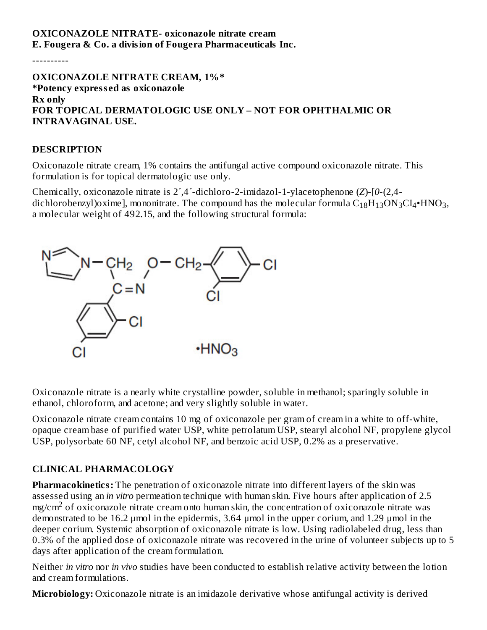# **OXICONAZOLE NITRATE- oxiconazole nitrate cream E. Fougera & Co. a division of Fougera Pharmaceuticals Inc.**

----------

**OXICONAZOLE NITRATE CREAM, 1%\* \*Potency express ed as oxiconazole Rx only FOR TOPICAL DERMATOLOGIC USE ONLY – NOT FOR OPHTHALMIC OR INTRAVAGINAL USE.**

#### **DESCRIPTION**

Oxiconazole nitrate cream, 1% contains the antifungal active compound oxiconazole nitrate. This formulation is for topical dermatologic use only.

Chemically, oxiconazole nitrate is 2´,4´-dichloro-2-imidazol-1-ylacetophenone (*Z*)-[*0*-(2,4 dichlorobenzyl)oxime], mononitrate. The compound has the molecular formula  $\rm{C_{18}H_{13}ON_{3}CI_{4}}$ +HNO $_{3}$ , a molecular weight of 492.15, and the following structural formula:



Oxiconazole nitrate is a nearly white crystalline powder, soluble in methanol; sparingly soluble in ethanol, chloroform, and acetone; and very slightly soluble in water.

Oxiconazole nitrate cream contains 10 mg of oxiconazole per gram of cream in a white to off-white, opaque cream base of purified water USP, white petrolatum USP, stearyl alcohol NF, propylene glycol USP, polysorbate 60 NF, cetyl alcohol NF, and benzoic acid USP, 0.2% as a preservative.

#### **CLINICAL PHARMACOLOGY**

**Pharmacokinetics:** The penetration of oxiconazole nitrate into different layers of the skin was assessed using an *in vitro* permeation technique with human skin. Five hours after application of 2.5  $mg/cm<sup>2</sup>$  of oxiconazole nitrate cream onto human skin, the concentration of oxiconazole nitrate was demonstrated to be 16.2 μmol in the epidermis, 3.64 μmol in the upper corium, and 1.29 μmol in the deeper corium. Systemic absorption of oxiconazole nitrate is low. Using radiolabeled drug, less than 0.3% of the applied dose of oxiconazole nitrate was recovered in the urine of volunteer subjects up to 5 days after application of the cream formulation.

Neither *in vitro* nor *in vivo* studies have been conducted to establish relative activity between the lotion and cream formulations.

**Microbiology:** Oxiconazole nitrate is an imidazole derivative whose antifungal activity is derived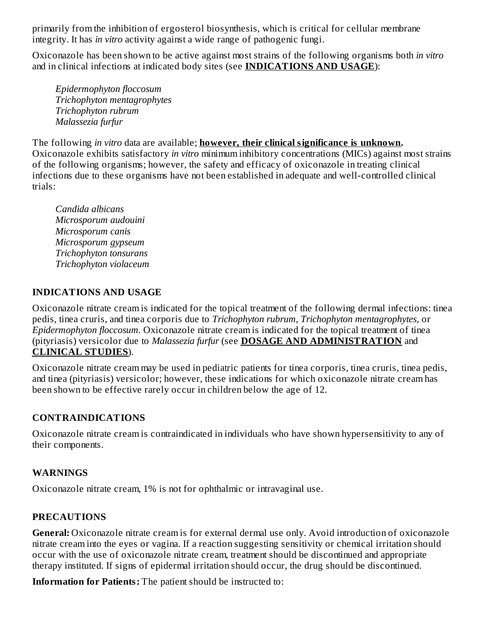primarily from the inhibition of ergosterol biosynthesis, which is critical for cellular membrane integrity. It has *in vitro* activity against a wide range of pathogenic fungi.

Oxiconazole has been shown to be active against most strains of the following organisms both *in vitro* and in clinical infections at indicated body sites (see **INDICATIONS AND USAGE**):

*Epidermophyton floccosum Trichophyton mentagrophytes Trichophyton rubrum Malassezia furfur*

The following *in vitro* data are available; **however, their clinical significance is unknown.** Oxiconazole exhibits satisfactory *in vitro* minimum inhibitory concentrations (MICs) against most strains of the following organisms; however, the safety and efficacy of oxiconazole in treating clinical infections due to these organisms have not been established in adequate and well-controlled clinical trials:

*Candida albicans Microsporum audouini Microsporum canis Microsporum gypseum Trichophyton tonsurans Trichophyton violaceum*

### **INDICATIONS AND USAGE**

Oxiconazole nitrate cream is indicated for the topical treatment of the following dermal infections: tinea pedis, tinea cruris, and tinea corporis due to *Trichophyton rubrum, Trichophyton mentagrophytes,* or *Epidermophyton floccosum.* Oxiconazole nitrate cream is indicated for the topical treatment of tinea (pityriasis) versicolor due to *Malassezia furfur* (see **DOSAGE AND ADMINISTRATION** and **CLINICAL STUDIES**).

Oxiconazole nitrate cream may be used in pediatric patients for tinea corporis, tinea cruris, tinea pedis, and tinea (pityriasis) versicolor; however, these indications for which oxiconazole nitrate cream has been shown to be effective rarely occur in children below the age of 12.

## **CONTRAINDICATIONS**

Oxiconazole nitrate cream is contraindicated in individuals who have shown hypersensitivity to any of their components.

## **WARNINGS**

Oxiconazole nitrate cream, 1% is not for ophthalmic or intravaginal use.

## **PRECAUTIONS**

**General:** Oxiconazole nitrate cream is for external dermal use only. Avoid introduction of oxiconazole nitrate cream into the eyes or vagina. If a reaction suggesting sensitivity or chemical irritation should occur with the use of oxiconazole nitrate cream, treatment should be discontinued and appropriate therapy instituted. If signs of epidermal irritation should occur, the drug should be discontinued.

**Information for Patients:** The patient should be instructed to: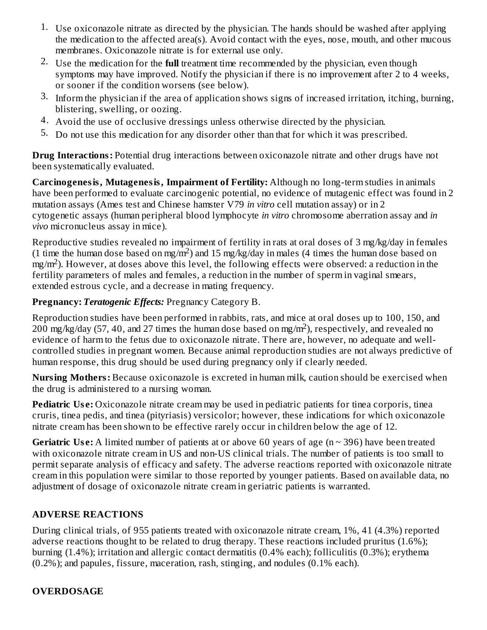- 1. Use oxiconazole nitrate as directed by the physician. The hands should be washed after applying the medication to the affected area(s). Avoid contact with the eyes, nose, mouth, and other mucous membranes. Oxiconazole nitrate is for external use only.
- 2. Use the medication for the **full** treatment time recommended by the physician, even though symptoms may have improved. Notify the physician if there is no improvement after 2 to 4 weeks, or sooner if the condition worsens (see below).
- 3. Inform the physician if the area of application shows signs of increased irritation, itching, burning, blistering, swelling, or oozing.
- 4. Avoid the use of occlusive dressings unless otherwise directed by the physician.
- 5. Do not use this medication for any disorder other than that for which it was prescribed.

**Drug Interactions:** Potential drug interactions between oxiconazole nitrate and other drugs have not been systematically evaluated.

**Carcinogenesis, Mutagenesis, Impairment of Fertility:** Although no long-term studies in animals have been performed to evaluate carcinogenic potential, no evidence of mutagenic effect was found in 2 mutation assays (Ames test and Chinese hamster V79 *in vitro* cell mutation assay) or in 2 cytogenetic assays (human peripheral blood lymphocyte *in vitro* chromosome aberration assay and *in vivo* micronucleus assay in mice).

Reproductive studies revealed no impairment of fertility in rats at oral doses of 3 mg/kg/day in females (1 time the human dose based on mg/m<sup>2</sup>) and 15 mg/kg/day in males (4 times the human dose based on  $mg/m<sup>2</sup>$ ). However, at doses above this level, the following effects were observed: a reduction in the fertility parameters of males and females, a reduction in the number of sperm in vaginal smears, extended estrous cycle, and a decrease in mating frequency.

# **Pregnancy:** *Teratogenic Effects:* Pregnancy Category B.

Reproduction studies have been performed in rabbits, rats, and mice at oral doses up to 100, 150, and  $200$  mg/kg/day (57, 40, and 27 times the human dose based on mg/m<sup>2</sup>), respectively, and revealed no evidence of harm to the fetus due to oxiconazole nitrate. There are, however, no adequate and wellcontrolled studies in pregnant women. Because animal reproduction studies are not always predictive of human response, this drug should be used during pregnancy only if clearly needed.

**Nursing Mothers:** Because oxiconazole is excreted in human milk, caution should be exercised when the drug is administered to a nursing woman.

**Pediatric Use:** Oxiconazole nitrate cream may be used in pediatric patients for tinea corporis, tinea cruris, tinea pedis, and tinea (pityriasis) versicolor; however, these indications for which oxiconazole nitrate cream has been shown to be effective rarely occur in children below the age of 12.

**Geriatric** Use: A limited number of patients at or above 60 years of age ( $n \sim 396$ ) have been treated with oxiconazole nitrate cream in US and non-US clinical trials. The number of patients is too small to permit separate analysis of efficacy and safety. The adverse reactions reported with oxiconazole nitrate cream in this population were similar to those reported by younger patients. Based on available data, no adjustment of dosage of oxiconazole nitrate cream in geriatric patients is warranted.

# **ADVERSE REACTIONS**

During clinical trials, of 955 patients treated with oxiconazole nitrate cream, 1%, 41 (4.3%) reported adverse reactions thought to be related to drug therapy. These reactions included pruritus (1.6%); burning (1.4%); irritation and allergic contact dermatitis (0.4% each); folliculitis (0.3%); erythema (0.2%); and papules, fissure, maceration, rash, stinging, and nodules (0.1% each).

# **OVERDOSAGE**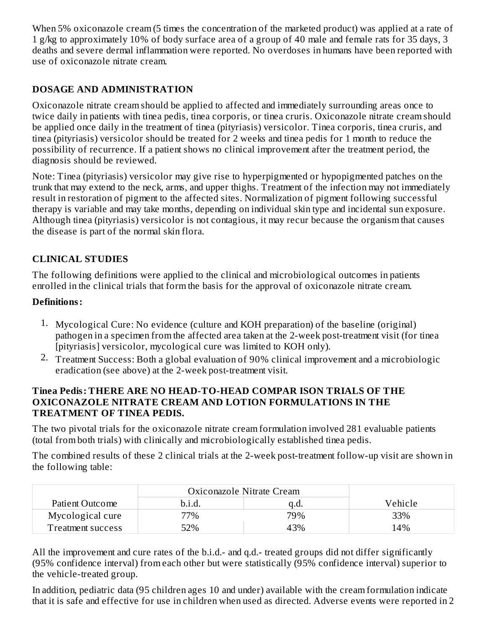When 5% oxiconazole cream (5 times the concentration of the marketed product) was applied at a rate of 1 g/kg to approximately 10% of body surface area of a group of 40 male and female rats for 35 days, 3 deaths and severe dermal inflammation were reported. No overdoses in humans have been reported with use of oxiconazole nitrate cream.

# **DOSAGE AND ADMINISTRATION**

Oxiconazole nitrate cream should be applied to affected and immediately surrounding areas once to twice daily in patients with tinea pedis, tinea corporis, or tinea cruris. Oxiconazole nitrate cream should be applied once daily in the treatment of tinea (pityriasis) versicolor. Tinea corporis, tinea cruris, and tinea (pityriasis) versicolor should be treated for 2 weeks and tinea pedis for 1 month to reduce the possibility of recurrence. If a patient shows no clinical improvement after the treatment period, the diagnosis should be reviewed.

Note: Tinea (pityriasis) versicolor may give rise to hyperpigmented or hypopigmented patches on the trunk that may extend to the neck, arms, and upper thighs. Treatment of the infection may not immediately result in restoration of pigment to the affected sites. Normalization of pigment following successful therapy is variable and may take months, depending on individual skin type and incidental sun exposure. Although tinea (pityriasis) versicolor is not contagious, it may recur because the organism that causes the disease is part of the normal skin flora.

# **CLINICAL STUDIES**

The following definitions were applied to the clinical and microbiological outcomes in patients enrolled in the clinical trials that form the basis for the approval of oxiconazole nitrate cream.

# **Definitions:**

- 1. Mycological Cure: No evidence (culture and KOH preparation) of the baseline (original) pathogen in a specimen from the affected area taken at the 2-week post-treatment visit (for tinea [pityriasis] versicolor, mycological cure was limited to KOH only).
- 2. Treatment Success: Both a global evaluation of 90% clinical improvement and a microbiologic eradication (see above) at the 2-week post-treatment visit.

### **Tinea Pedis: THERE ARE NO HEAD-TO-HEAD COMPAR ISON TRIALS OF THE OXICONAZOLE NITRATE CREAM AND LOTION FORMULATIONS IN THE TREATMENT OF TINEA PEDIS.**

The two pivotal trials for the oxiconazole nitrate cream formulation involved 281 evaluable patients (total from both trials) with clinically and microbiologically established tinea pedis.

The combined results of these 2 clinical trials at the 2-week post-treatment follow-up visit are shown in the following table:

|                   | Oxiconazole Nitrate Cream |      |         |
|-------------------|---------------------------|------|---------|
| Patient Outcome   | b.i.d.                    | a.a. | Vehicle |
| Mycological cure  | 77%                       | 79%  | 33%     |
| Treatment success | 52%                       | 43%  | 14%     |

All the improvement and cure rates of the b.i.d.- and q.d.- treated groups did not differ significantly (95% confidence interval) from each other but were statistically (95% confidence interval) superior to the vehicle-treated group.

In addition, pediatric data (95 children ages 10 and under) available with the cream formulation indicate that it is safe and effective for use in children when used as directed. Adverse events were reported in 2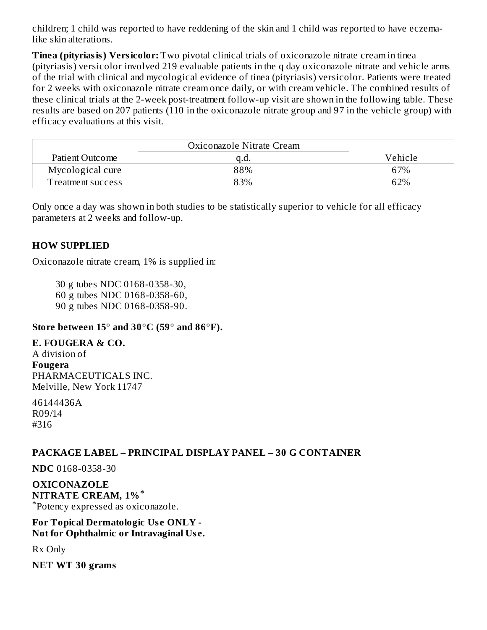children; 1 child was reported to have reddening of the skin and 1 child was reported to have eczemalike skin alterations.

**Tinea (pityriasis) Versicolor:** Two pivotal clinical trials of oxiconazole nitrate cream in tinea (pityriasis) versicolor involved 219 evaluable patients in the q day oxiconazole nitrate and vehicle arms of the trial with clinical and mycological evidence of tinea (pityriasis) versicolor. Patients were treated for 2 weeks with oxiconazole nitrate cream once daily, or with cream vehicle. The combined results of these clinical trials at the 2-week post-treatment follow-up visit are shown in the following table. These results are based on 207 patients (110 in the oxiconazole nitrate group and 97 in the vehicle group) with efficacy evaluations at this visit.

|                          | Oxiconazole Nitrate Cream |         |
|--------------------------|---------------------------|---------|
| Patient Outcome          | u.u.                      | Vehicle |
| Mycological cure         | 88%                       | 67%     |
| <b>Treatment success</b> | 83%                       | 62%     |

Only once a day was shown in both studies to be statistically superior to vehicle for all efficacy parameters at 2 weeks and follow-up.

### **HOW SUPPLIED**

Oxiconazole nitrate cream, 1% is supplied in:

30 g tubes NDC 0168-0358-30,

60 g tubes NDC 0168-0358-60,

90 g tubes NDC 0168-0358-90.

#### **Store between 15° and 30°C (59° and 86°F).**

#### **E. FOUGERA & CO.**

A division of **Fougera** PHARMACEUTICALS INC. Melville, New York 11747

46144436A R09/14 #316

## **PACKAGE LABEL – PRINCIPAL DISPLAY PANEL – 30 G CONTAINER**

**NDC** 0168-0358-30

**OXICONAZOLE NITRATE CREAM, 1% \*** Potency expressed as oxiconazole. \*

#### **For Topical Dermatologic Us e ONLY - Not for Ophthalmic or Intravaginal Us e.**

Rx Only

**NET WT 30 grams**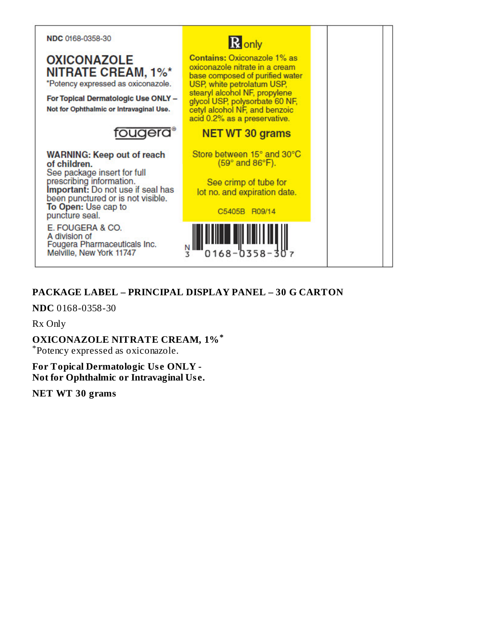

**OXICONAZOLE NITRATE CREAM, 1%\*** \*Potency expressed as oxiconazole.

For Topical Dermatologic Use ONLY -Not for Ophthalmic or Intravaginal Use.

# fougera<sup>®</sup>

**WARNING: Keep out of reach** of children. See package insert for full

prescribing information.<br>Important: Do not use if seal has been punctured or is not visible. To Open: Use cap to puncture seal.

E. FOUGERA & CO. A division of Fougera Pharmaceuticals Inc. Melville, New York 11747



# PACKAGE LABEL – PRINCIPAL DISPLAY PANEL – 30 G CARTON

3

 $0168 - 0358 -$ 

NDC 0168-0358-30

Rx Only

**OXICONAZOLE NITRATE CREAM, 1%\*** 

\*Potency expressed as oxiconazole.

**For Topical Dermatologic Use ONLY -**Not for Ophthalmic or Intravaginal Use.

**NET WT 30 grams**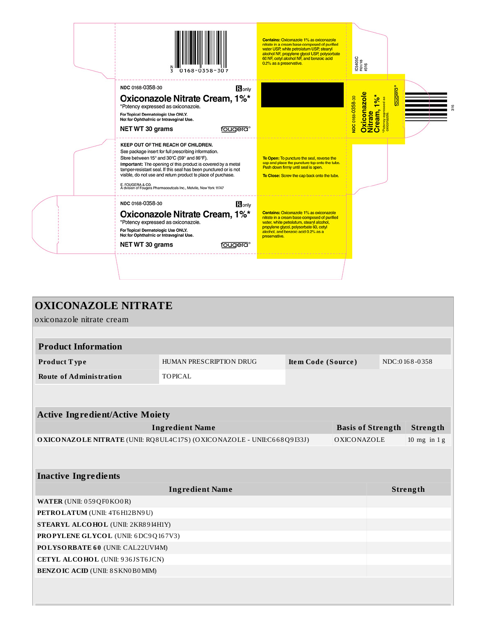| $0168 - 0358 - 307$<br>3                                                                                                                                                                                                                                                                                                                                                                                                                 | Contains: Oxiconazole 1% as oxiconazole<br>nitrate in a cream base composed of purified<br>water USP, white petrolatum USP, stearyl<br>alcohol NF, propylene glycol USP, polysorbate<br>60 NF, cetyl alcohol NF, and benzoic acid<br>0.2% as a preservative. | IC5405C<br>R01/18<br>#316                                                                          |
|------------------------------------------------------------------------------------------------------------------------------------------------------------------------------------------------------------------------------------------------------------------------------------------------------------------------------------------------------------------------------------------------------------------------------------------|--------------------------------------------------------------------------------------------------------------------------------------------------------------------------------------------------------------------------------------------------------------|----------------------------------------------------------------------------------------------------|
| NDC 0168-0358-30<br>Ronly<br>Oxiconazole Nitrate Cream, 1%*<br>*Potency expressed as oxiconazole.<br>For Topical Dermatologic Use ONLY.<br>Not for Ophthalmic or Intravaginal Use.<br>NET WT 30 grams<br>fougera®                                                                                                                                                                                                                        |                                                                                                                                                                                                                                                              | <u>piebr</u><br>Oxiconazole<br>Nitrate<br>Cream, 1%*<br>NDC 0168-0358-30<br><b>ind</b> as<br>Poten |
| KEEP OUT OF THE REACH OF CHILDREN.<br>See package insert for full prescribing information.<br>Store between 15° and 30°C (59° and 86°F).<br>Important: The opening of this product is covered by a metal<br>tamper-resistant seal. If this seal has been punctured or is not<br>visible, do not use and return product to place of purchase.<br>E. FOUGERA & CO.<br>A division of Fougera Pharmaceuticals Inc., Melville, New York 11747 | To Open: To puncture the seal, reverse the<br>cap and place the puncture-top onto the tube.<br>Push down firmly until seal is open.<br>To Close: Screw the cap back onto the tube.                                                                           |                                                                                                    |
| NDC 0168-0358-30<br><b>R</b> only<br>Oxiconazole Nitrate Cream, 1%*<br>*Potency expressed as oxiconazole.<br>For Topical Dermatologic Use ONLY.<br>Not for Ophthalmic or Intravaginal Use.<br>NET WT 30 grams<br>fougera®                                                                                                                                                                                                                | Contains: Oxiconazole 1% as oxiconazole<br>nitrate in a cream base composed of purified<br>water, white petrolatum, stearyl alcohol,<br>propylene glycol, polysorbate 60, cetyl<br>alcohol, and benzoic acid 0.2% as a<br>preservative.                      |                                                                                                    |
|                                                                                                                                                                                                                                                                                                                                                                                                                                          |                                                                                                                                                                                                                                                              |                                                                                                    |

| <b>OXICONAZOLE NITRATE</b>                                             |                         |                    |                          |          |               |
|------------------------------------------------------------------------|-------------------------|--------------------|--------------------------|----------|---------------|
| oxiconazole nitrate cream                                              |                         |                    |                          |          |               |
|                                                                        |                         |                    |                          |          |               |
| <b>Product Information</b>                                             |                         |                    |                          |          |               |
| Product Type                                                           | HUMAN PRESCRIPTION DRUG | Item Code (Source) |                          |          | NDC:0168-0358 |
| <b>Route of Administration</b>                                         | <b>TOPICAL</b>          |                    |                          |          |               |
|                                                                        |                         |                    |                          |          |               |
|                                                                        |                         |                    |                          |          |               |
| <b>Active Ingredient/Active Moiety</b>                                 |                         |                    |                          |          |               |
| <b>Ingredient Name</b>                                                 |                         |                    | <b>Basis of Strength</b> |          | Strength      |
| OXICONAZOLE NITRATE (UNII: RQ8UL4C17S) (OXICONAZOLE - UNII:C668Q9I33J) |                         |                    | OXICONAZOLE              |          | 10 mg in $1g$ |
|                                                                        |                         |                    |                          |          |               |
|                                                                        |                         |                    |                          |          |               |
| <b>Inactive Ingredients</b>                                            |                         |                    |                          |          |               |
| <b>Ingredient Name</b>                                                 |                         |                    |                          | Strength |               |
| WATER (UNII: 059QF0KO0R)                                               |                         |                    |                          |          |               |
| PETROLATUM (UNII: 4T6H12BN9U)                                          |                         |                    |                          |          |               |
| STEARYL ALCOHOL (UNII: 2KR89I4H1Y)                                     |                         |                    |                          |          |               |
| PROPYLENE GLYCOL (UNII: 6DC9Q167V3)                                    |                         |                    |                          |          |               |
| POLYSORBATE 60 (UNII: CAL22UVI4M)                                      |                         |                    |                          |          |               |
| CETYL ALCOHOL (UNII: 936JST6JCN)                                       |                         |                    |                          |          |               |
| <b>BENZOIC ACID (UNII: 8 SKN0B0MIM)</b>                                |                         |                    |                          |          |               |
|                                                                        |                         |                    |                          |          |               |
|                                                                        |                         |                    |                          |          |               |
|                                                                        |                         |                    |                          |          |               |